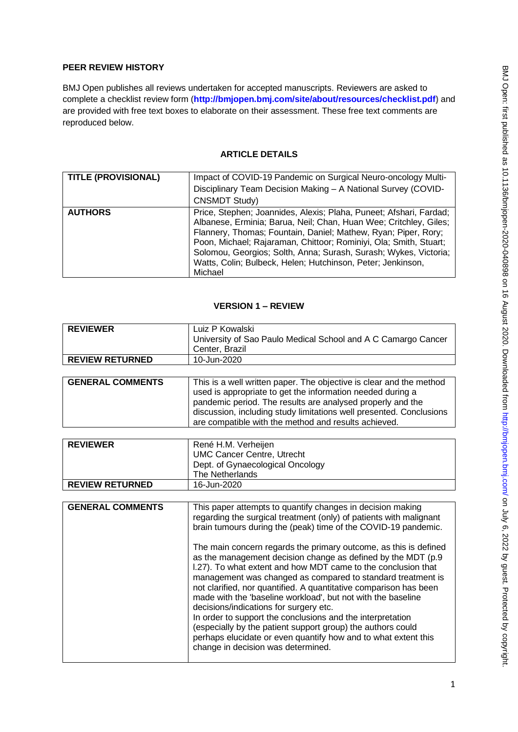# **PEER REVIEW HISTORY**

BMJ Open publishes all reviews undertaken for accepted manuscripts. Reviewers are asked to complete a checklist review form (**[http://bmjopen.bmj.com/site/about/resources/checklist.pdf\)](http://bmjopen.bmj.com/site/about/resources/checklist.pdf)** and are provided with free text boxes to elaborate on their assessment. These free text comments are reproduced below.

#### **ARTICLE DETAILS**

| <b>TITLE (PROVISIONAL)</b> | Impact of COVID-19 Pandemic on Surgical Neuro-oncology Multi-<br>Disciplinary Team Decision Making - A National Survey (COVID-<br><b>CNSMDT Study)</b>                                                                                                                                                                                                                                                                       |
|----------------------------|------------------------------------------------------------------------------------------------------------------------------------------------------------------------------------------------------------------------------------------------------------------------------------------------------------------------------------------------------------------------------------------------------------------------------|
| <b>AUTHORS</b>             | Price, Stephen; Joannides, Alexis; Plaha, Puneet; Afshari, Fardad;<br>Albanese, Erminia; Barua, Neil; Chan, Huan Wee; Critchley, Giles;<br>Flannery, Thomas; Fountain, Daniel; Mathew, Ryan; Piper, Rory;<br>Poon, Michael; Rajaraman, Chittoor; Rominiyi, Ola; Smith, Stuart;<br>Solomou, Georgios; Solth, Anna; Surash, Surash; Wykes, Victoria;<br>Watts, Colin; Bulbeck, Helen; Hutchinson, Peter; Jenkinson,<br>Michael |

#### **VERSION 1 – REVIEW**

| <b>REVIEWER</b>         | Luiz P Kowalski                                                                                                                                                                                                                                                                                                                                                                                                                                                                                                                                                                                                                                |
|-------------------------|------------------------------------------------------------------------------------------------------------------------------------------------------------------------------------------------------------------------------------------------------------------------------------------------------------------------------------------------------------------------------------------------------------------------------------------------------------------------------------------------------------------------------------------------------------------------------------------------------------------------------------------------|
|                         | University of Sao Paulo Medical School and A C Camargo Cancer<br>Center, Brazil                                                                                                                                                                                                                                                                                                                                                                                                                                                                                                                                                                |
| <b>REVIEW RETURNED</b>  | 10-Jun-2020                                                                                                                                                                                                                                                                                                                                                                                                                                                                                                                                                                                                                                    |
|                         |                                                                                                                                                                                                                                                                                                                                                                                                                                                                                                                                                                                                                                                |
| <b>GENERAL COMMENTS</b> | This is a well written paper. The objective is clear and the method<br>used is appropriate to get the information needed during a<br>pandemic period. The results are analysed properly and the<br>discussion, including study limitations well presented. Conclusions<br>are compatible with the method and results achieved.                                                                                                                                                                                                                                                                                                                 |
|                         |                                                                                                                                                                                                                                                                                                                                                                                                                                                                                                                                                                                                                                                |
| <b>REVIEWER</b>         | René H.M. Verheijen                                                                                                                                                                                                                                                                                                                                                                                                                                                                                                                                                                                                                            |
|                         | <b>UMC Cancer Centre, Utrecht</b>                                                                                                                                                                                                                                                                                                                                                                                                                                                                                                                                                                                                              |
|                         | Dept. of Gynaecological Oncology                                                                                                                                                                                                                                                                                                                                                                                                                                                                                                                                                                                                               |
|                         | The Netherlands                                                                                                                                                                                                                                                                                                                                                                                                                                                                                                                                                                                                                                |
| <b>REVIEW RETURNED</b>  | 16-Jun-2020                                                                                                                                                                                                                                                                                                                                                                                                                                                                                                                                                                                                                                    |
|                         |                                                                                                                                                                                                                                                                                                                                                                                                                                                                                                                                                                                                                                                |
| <b>GENERAL COMMENTS</b> | This paper attempts to quantify changes in decision making                                                                                                                                                                                                                                                                                                                                                                                                                                                                                                                                                                                     |
|                         | regarding the surgical treatment (only) of patients with malignant<br>brain tumours during the (peak) time of the COVID-19 pandemic.                                                                                                                                                                                                                                                                                                                                                                                                                                                                                                           |
|                         |                                                                                                                                                                                                                                                                                                                                                                                                                                                                                                                                                                                                                                                |
|                         | The main concern regards the primary outcome, as this is defined<br>as the management decision change as defined by the MDT (p.9<br>I.27). To what extent and how MDT came to the conclusion that<br>management was changed as compared to standard treatment is<br>not clarified, nor quantified. A quantitative comparison has been<br>made with the 'baseline workload', but not with the baseline<br>decisions/indications for surgery etc.<br>In order to support the conclusions and the interpretation<br>(especially by the patient support group) the authors could<br>perhaps elucidate or even quantify how and to what extent this |
|                         | change in decision was determined.                                                                                                                                                                                                                                                                                                                                                                                                                                                                                                                                                                                                             |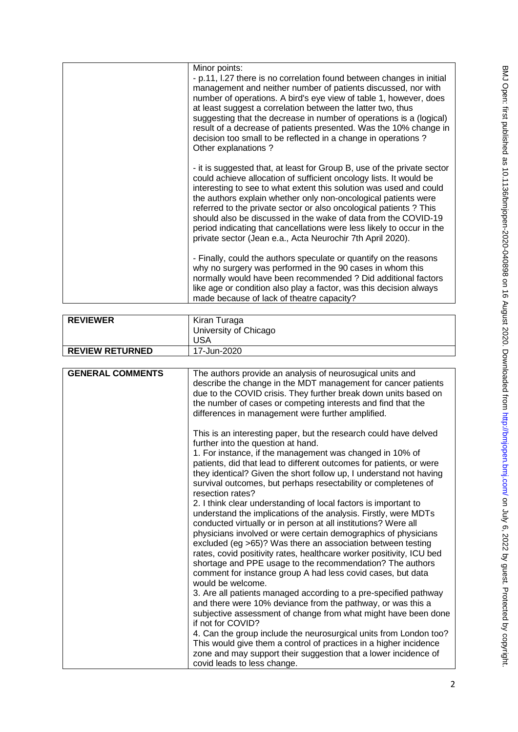| Minor points:<br>- p.11, I.27 there is no correlation found between changes in initial<br>management and neither number of patients discussed, nor with<br>number of operations. A bird's eye view of table 1, however, does<br>at least suggest a correlation between the latter two, thus<br>suggesting that the decrease in number of operations is a (logical)<br>result of a decrease of patients presented. Was the 10% change in<br>decision too small to be reflected in a change in operations?<br>Other explanations?                                      |
|----------------------------------------------------------------------------------------------------------------------------------------------------------------------------------------------------------------------------------------------------------------------------------------------------------------------------------------------------------------------------------------------------------------------------------------------------------------------------------------------------------------------------------------------------------------------|
| - it is suggested that, at least for Group B, use of the private sector<br>could achieve allocation of sufficient oncology lists. It would be<br>interesting to see to what extent this solution was used and could<br>the authors explain whether only non-oncological patients were<br>referred to the private sector or also oncological patients ? This<br>should also be discussed in the wake of data from the COVID-19<br>period indicating that cancellations were less likely to occur in the<br>private sector (Jean e.a., Acta Neurochir 7th April 2020). |
| - Finally, could the authors speculate or quantify on the reasons<br>why no surgery was performed in the 90 cases in whom this<br>normally would have been recommended ? Did additional factors<br>like age or condition also play a factor, was this decision always<br>made because of lack of theatre capacity?                                                                                                                                                                                                                                                   |
| Kiran Turaga<br>University of Chicago<br><b>USA</b><br>17-Jun-2020                                                                                                                                                                                                                                                                                                                                                                                                                                                                                                   |
|                                                                                                                                                                                                                                                                                                                                                                                                                                                                                                                                                                      |
| The authors provide an analysis of neurosugical units and<br>describe the change in the MDT management for cancer patients<br>due to the COVID crisis. They further break down units based on                                                                                                                                                                                                                                                                                                                                                                        |
| the number of cases or competing interests and find that the<br>differences in management were further amplified.                                                                                                                                                                                                                                                                                                                                                                                                                                                    |
| This is an interesting paper, but the research could have delved<br>further into the question at hand.<br>$\cdots$                                                                                                                                                                                                                                                                                                                                                                                                                                                   |

|                         | <b>USA</b>                                                                                                                                                                                                                                                                                                                                                                                                                                                                                                                                                     |
|-------------------------|----------------------------------------------------------------------------------------------------------------------------------------------------------------------------------------------------------------------------------------------------------------------------------------------------------------------------------------------------------------------------------------------------------------------------------------------------------------------------------------------------------------------------------------------------------------|
| <b>REVIEW RETURNED</b>  | 17-Jun-2020                                                                                                                                                                                                                                                                                                                                                                                                                                                                                                                                                    |
|                         |                                                                                                                                                                                                                                                                                                                                                                                                                                                                                                                                                                |
| <b>GENERAL COMMENTS</b> | The authors provide an analysis of neurosugical units and<br>describe the change in the MDT management for cancer patients<br>due to the COVID crisis. They further break down units based on<br>the number of cases or competing interests and find that the<br>differences in management were further amplified.                                                                                                                                                                                                                                             |
|                         | This is an interesting paper, but the research could have delved<br>further into the question at hand.<br>1. For instance, if the management was changed in 10% of<br>patients, did that lead to different outcomes for patients, or were<br>they identical? Given the short follow up, I understand not having<br>survival outcomes, but perhaps resectability or completenes of<br>resection rates?                                                                                                                                                          |
|                         | 2. I think clear understanding of local factors is important to<br>understand the implications of the analysis. Firstly, were MDTs<br>conducted virtually or in person at all institutions? Were all<br>physicians involved or were certain demographics of physicians<br>excluded (eg >65)? Was there an association between testing<br>rates, covid positivity rates, healthcare worker positivity, ICU bed<br>shortage and PPE usage to the recommendation? The authors<br>comment for instance group A had less covid cases, but data<br>would be welcome. |
|                         | 3. Are all patients managed according to a pre-specified pathway<br>and there were 10% deviance from the pathway, or was this a<br>subjective assessment of change from what might have been done<br>if not for COVID?<br>4. Can the group include the neurosurgical units from London too?<br>This would give them a control of practices in a higher incidence<br>zone and may support their suggestion that a lower incidence of<br>covid leads to less change.                                                                                             |

**REVIEWER** Kiran Turaga

BMJ Open: first published as 10.1136/bmjopen-2020-040898 on 16 August 2020. Downloaded from http://bmjopen.bmj.com/ on July 6, 2022 by guest. Protected by copyright BMJ Open: first published as 10.1136/bmjopen-2020-040898 on 16 August 2020. Downloaded from <http://bmjopen.bmj.com/> on July 6, 2022 by guest. Protected by copyright.

2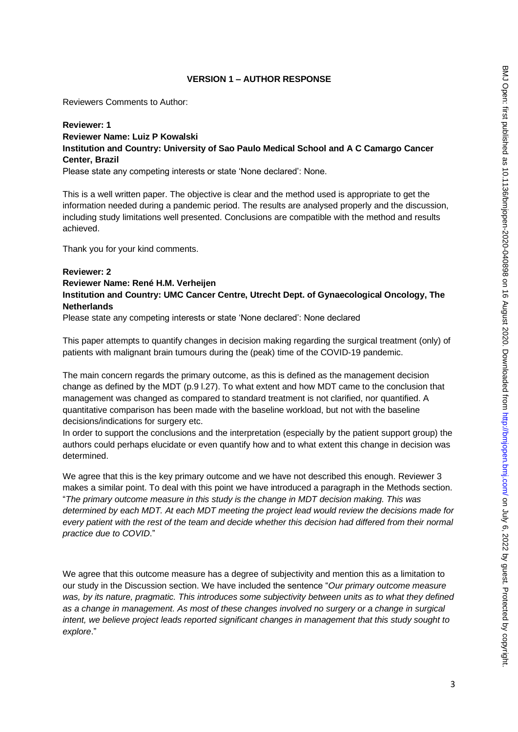## **VERSION 1 – AUTHOR RESPONSE**

Reviewers Comments to Author:

# **Reviewer: 1 Reviewer Name: Luiz P Kowalski Institution and Country: University of Sao Paulo Medical School and A C Camargo Cancer Center, Brazil**

Please state any competing interests or state 'None declared': None.

This is a well written paper. The objective is clear and the method used is appropriate to get the information needed during a pandemic period. The results are analysed properly and the discussion, including study limitations well presented. Conclusions are compatible with the method and results achieved.

Thank you for your kind comments.

## **Reviewer: 2 Reviewer Name: René H.M. Verheijen Institution and Country: UMC Cancer Centre, Utrecht Dept. of Gynaecological Oncology, The Netherlands**

Please state any competing interests or state 'None declared': None declared

This paper attempts to quantify changes in decision making regarding the surgical treatment (only) of patients with malignant brain tumours during the (peak) time of the COVID-19 pandemic.

The main concern regards the primary outcome, as this is defined as the management decision change as defined by the MDT (p.9 l.27). To what extent and how MDT came to the conclusion that management was changed as compared to standard treatment is not clarified, nor quantified. A quantitative comparison has been made with the baseline workload, but not with the baseline decisions/indications for surgery etc.

In order to support the conclusions and the interpretation (especially by the patient support group) the authors could perhaps elucidate or even quantify how and to what extent this change in decision was determined.

We agree that this is the key primary outcome and we have not described this enough. Reviewer 3 makes a similar point. To deal with this point we have introduced a paragraph in the Methods section. "*The primary outcome measure in this study is the change in MDT decision making. This was determined by each MDT. At each MDT meeting the project lead would review the decisions made for every patient with the rest of the team and decide whether this decision had differed from their normal practice due to COVID*."

We agree that this outcome measure has a degree of subjectivity and mention this as a limitation to our study in the Discussion section. We have included the sentence "*Our primary outcome measure was, by its nature, pragmatic. This introduces some subjectivity between units as to what they defined as a change in management. As most of these changes involved no surgery or a change in surgical intent, we believe project leads reported significant changes in management that this study sought to explore*."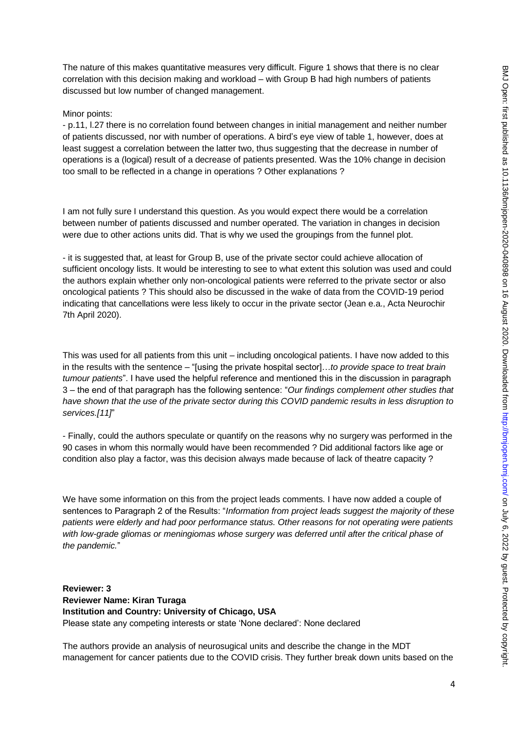The nature of this makes quantitative measures very difficult. Figure 1 shows that there is no clear correlation with this decision making and workload – with Group B had high numbers of patients discussed but low number of changed management.

#### Minor points:

- p.11, l.27 there is no correlation found between changes in initial management and neither number of patients discussed, nor with number of operations. A bird's eye view of table 1, however, does at least suggest a correlation between the latter two, thus suggesting that the decrease in number of operations is a (logical) result of a decrease of patients presented. Was the 10% change in decision too small to be reflected in a change in operations ? Other explanations ?

I am not fully sure I understand this question. As you would expect there would be a correlation between number of patients discussed and number operated. The variation in changes in decision were due to other actions units did. That is why we used the groupings from the funnel plot.

- it is suggested that, at least for Group B, use of the private sector could achieve allocation of sufficient oncology lists. It would be interesting to see to what extent this solution was used and could the authors explain whether only non-oncological patients were referred to the private sector or also oncological patients ? This should also be discussed in the wake of data from the COVID-19 period indicating that cancellations were less likely to occur in the private sector (Jean e.a., Acta Neurochir 7th April 2020).

This was used for all patients from this unit – including oncological patients. I have now added to this in the results with the sentence – "[using the private hospital sector]…*to provide space to treat brain tumour patients*". I have used the helpful reference and mentioned this in the discussion in paragraph 3 – the end of that paragraph has the following sentence: "*Our findings complement other studies that have shown that the use of the private sector during this COVID pandemic results in less disruption to services.[11]*"

- Finally, could the authors speculate or quantify on the reasons why no surgery was performed in the 90 cases in whom this normally would have been recommended ? Did additional factors like age or condition also play a factor, was this decision always made because of lack of theatre capacity ?

We have some information on this from the project leads comments. I have now added a couple of sentences to Paragraph 2 of the Results: "*Information from project leads suggest the majority of these patients were elderly and had poor performance status. Other reasons for not operating were patients*  with low-grade gliomas or meningiomas whose surgery was deferred until after the critical phase of *the pandemic.*"

**Reviewer: 3 Reviewer Name: Kiran Turaga Institution and Country: University of Chicago, USA** Please state any competing interests or state 'None declared': None declared

The authors provide an analysis of neurosugical units and describe the change in the MDT management for cancer patients due to the COVID crisis. They further break down units based on the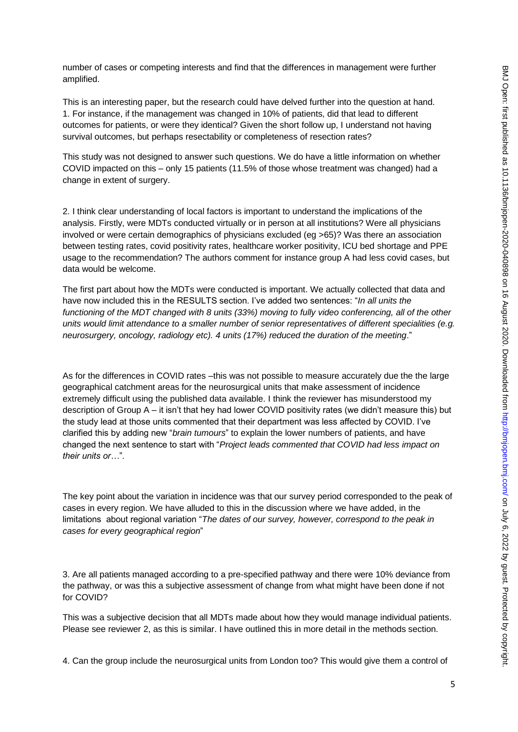number of cases or competing interests and find that the differences in management were further amplified.

This is an interesting paper, but the research could have delved further into the question at hand. 1. For instance, if the management was changed in 10% of patients, did that lead to different outcomes for patients, or were they identical? Given the short follow up, I understand not having survival outcomes, but perhaps resectability or completeness of resection rates?

This study was not designed to answer such questions. We do have a little information on whether COVID impacted on this – only 15 patients (11.5% of those whose treatment was changed) had a change in extent of surgery.

2. I think clear understanding of local factors is important to understand the implications of the analysis. Firstly, were MDTs conducted virtually or in person at all institutions? Were all physicians involved or were certain demographics of physicians excluded (eg >65)? Was there an association between testing rates, covid positivity rates, healthcare worker positivity, ICU bed shortage and PPE usage to the recommendation? The authors comment for instance group A had less covid cases, but data would be welcome.

The first part about how the MDTs were conducted is important. We actually collected that data and have now included this in the RESULTS section. I've added two sentences: "*In all units the functioning of the MDT changed with 8 units (33%) moving to fully video conferencing, all of the other units would limit attendance to a smaller number of senior representatives of different specialities (e.g. neurosurgery, oncology, radiology etc). 4 units (17%) reduced the duration of the meeting*."

As for the differences in COVID rates –this was not possible to measure accurately due the the large geographical catchment areas for the neurosurgical units that make assessment of incidence extremely difficult using the published data available. I think the reviewer has misunderstood my description of Group A – it isn't that hey had lower COVID positivity rates (we didn't measure this) but the study lead at those units commented that their department was less affected by COVID. I've clarified this by adding new "*brain tumours*" to explain the lower numbers of patients, and have changed the next sentence to start with "*Project leads commented that COVID had less impact on their units or…*".

The key point about the variation in incidence was that our survey period corresponded to the peak of cases in every region. We have alluded to this in the discussion where we have added, in the limitations about regional variation "*The dates of our survey, however, correspond to the peak in cases for every geographical region*"

3. Are all patients managed according to a pre-specified pathway and there were 10% deviance from the pathway, or was this a subjective assessment of change from what might have been done if not for COVID?

This was a subjective decision that all MDTs made about how they would manage individual patients. Please see reviewer 2, as this is similar. I have outlined this in more detail in the methods section.

4. Can the group include the neurosurgical units from London too? This would give them a control of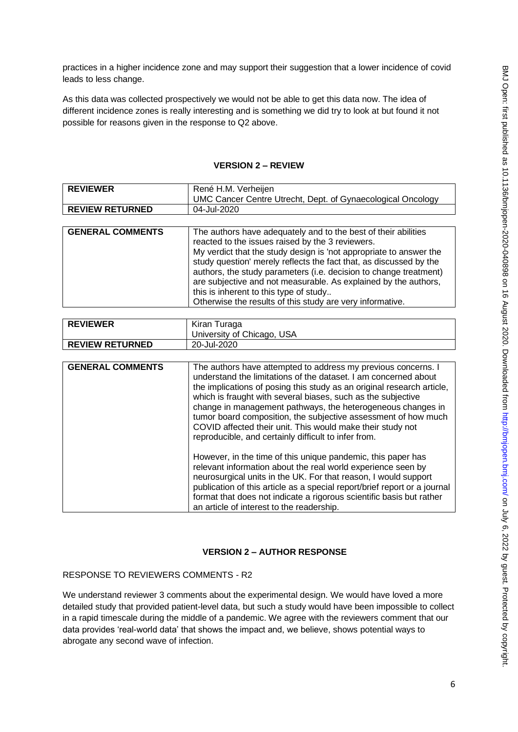practices in a higher incidence zone and may support their suggestion that a lower incidence of covid leads to less change.

As this data was collected prospectively we would not be able to get this data now. The idea of different incidence zones is really interesting and is something we did try to look at but found it not possible for reasons given in the response to Q2 above.

| <b>REVIEWER</b>         | René H.M. Verheijen                                                       |
|-------------------------|---------------------------------------------------------------------------|
|                         | UMC Cancer Centre Utrecht, Dept. of Gynaecological Oncology               |
| <b>REVIEW RETURNED</b>  | 04-Jul-2020                                                               |
|                         |                                                                           |
| <b>GENERAL COMMENTS</b> | The authors have adequately and to the best of their abilities            |
|                         | reacted to the issues raised by the 3 reviewers.                          |
|                         | My verdict that the study design is 'not appropriate to answer the        |
|                         | study question' merely reflects the fact that, as discussed by the        |
|                         | authors, the study parameters (i.e. decision to change treatment)         |
|                         | are subjective and not measurable. As explained by the authors,           |
|                         | this is inherent to this type of study                                    |
|                         | Otherwise the results of this study are very informative.                 |
|                         |                                                                           |
| <b>REVIEWER</b>         | Kiran Turaga                                                              |
|                         | University of Chicago, USA                                                |
| <b>REVIEW RETURNED</b>  | 20-Jul-2020                                                               |
|                         |                                                                           |
| <b>GENERAL COMMENTS</b> | The authors have attempted to address my previous concerns. I             |
|                         | understand the limitations of the dataset. I am concerned about           |
|                         | the implications of posing this study as an original research article,    |
|                         | which is fraught with several biases, such as the subjective              |
|                         | change in management pathways, the heterogeneous changes in               |
|                         | tumor board composition, the subjective assessment of how much            |
|                         | COVID affected their unit. This would make their study not                |
|                         | reproducible, and certainly difficult to infer from.                      |
|                         |                                                                           |
|                         | However, in the time of this unique pandemic, this paper has              |
|                         | relevant information about the real world experience seen by              |
|                         | neurosurgical units in the UK. For that reason, I would support           |
|                         | publication of this article as a special report/brief report or a journal |
|                         | format that does not indicate a rigorous scientific basis but rather      |
|                         | an article of interest to the readership.                                 |

### **VERSION 2 – REVIEW**

### **VERSION 2 – AUTHOR RESPONSE**

#### RESPONSE TO REVIEWERS COMMENTS - R2

We understand reviewer 3 comments about the experimental design. We would have loved a more detailed study that provided patient-level data, but such a study would have been impossible to collect in a rapid timescale during the middle of a pandemic. We agree with the reviewers comment that our data provides 'real-world data' that shows the impact and, we believe, shows potential ways to abrogate any second wave of infection.